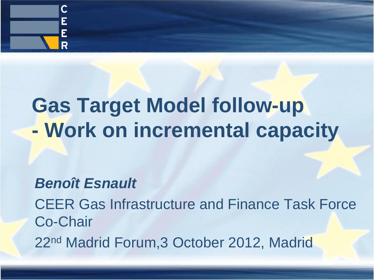

# **Gas Target Model follow-up - Work on incremental capacity**

### *Benoît Esnault*

CEER Gas Infrastructure and Finance Task Force Co-Chair 22nd Madrid Forum,3 October 2012, Madrid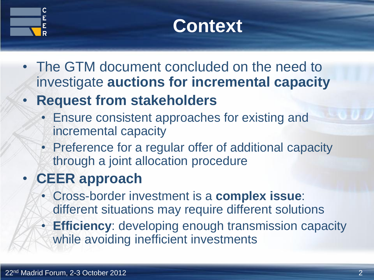



- The GTM document concluded on the need to investigate **auctions for incremental capacity**
- **Request from stakeholders**
	- Ensure consistent approaches for existing and incremental capacity
	- Preference for a regular offer of additional capacity through a joint allocation procedure

## • **CEER approach**

- Cross-border investment is a **complex issue**: different situations may require different solutions
- **Efficiency**: developing enough transmission capacity while avoiding inefficient investments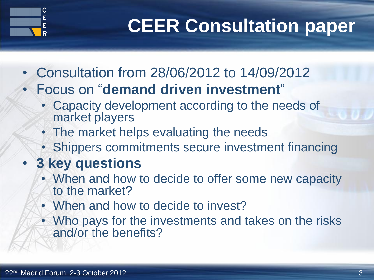

# **CEER Consultation paper**

- Consultation from 28/06/2012 to 14/09/2012
	- Focus on "**demand driven investment**"
		- Capacity development according to the needs of market players
		- The market helps evaluating the needs
		- Shippers commitments secure investment financing

## • **3 key questions**

- When and how to decide to offer some new capacity to the market?
- When and how to decide to invest?
- Who pays for the investments and takes on the risks and/or the benefits?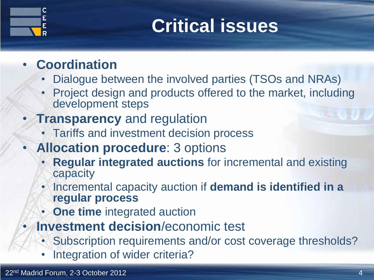# **Critical issues**

### • **Coordination**

- Dialogue between the involved parties (TSOs and NRAs)
- Project design and products offered to the market, including development steps
- **Transparency** and regulation
	- Tariffs and investment decision process
- **Allocation procedure**: 3 options
	- **Regular integrated auctions** for incremental and existing capacity
	- Incremental capacity auction if **demand is identified in a regular process**
	- **One time** integrated auction
	- **Investment decision**/economic test
		- Subscription requirements and/or cost coverage thresholds?
		- Integration of wider criteria?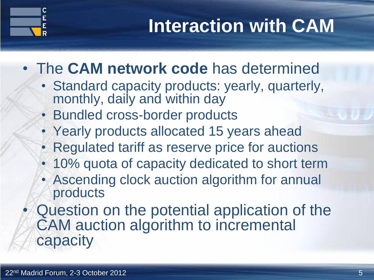# **Interaction with CAM**

- The **CAM network code** has determined
	- Standard capacity products: yearly, quarterly, monthly, daily and within day
	- Bundled cross-border products
	- Yearly products allocated 15 years ahead
	- Regulated tariff as reserve price for auctions
	- 10% quota of capacity dedicated to short term
	- Ascending clock auction algorithm for annual products
	- Question on the potential application of the CAM auction algorithm to incremental capacity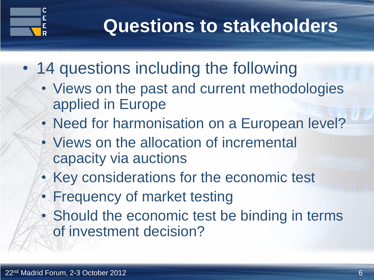

## **Questions to stakeholders**

- 14 questions including the following
	- Views on the past and current methodologies applied in Europe
	- Need for harmonisation on a European level?
	- Views on the allocation of incremental capacity via auctions
	- Key considerations for the economic test
	- Frequency of market testing
	- Should the economic test be binding in terms of investment decision?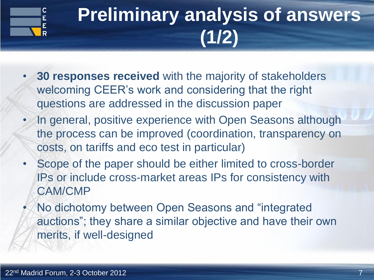

# **Preliminary analysis of answers (1/2)**

- **30 responses received** with the majority of stakeholders welcoming CEER's work and considering that the right questions are addressed in the discussion paper
- In general, positive experience with Open Seasons although the process can be improved (coordination, transparency on costs, on tariffs and eco test in particular)
- Scope of the paper should be either limited to cross-border IPs or include cross-market areas IPs for consistency with CAM/CMP
- No dichotomy between Open Seasons and "integrated auctions"; they share a similar objective and have their own merits, if well-designed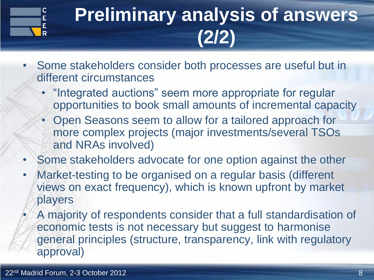

# **Preliminary analysis of answers (2/2)**

- Some stakeholders consider both processes are useful but in different circumstances
	- "Integrated auctions" seem more appropriate for regular opportunities to book small amounts of incremental capacity
	- Open Seasons seem to allow for a tailored approach for more complex projects (major investments/several TSOs and NRAs involved)
- Some stakeholders advocate for one option against the other
- Market-testing to be organised on a regular basis (different views on exact frequency), which is known upfront by market players
	- A majority of respondents consider that a full standardisation of economic tests is not necessary but suggest to harmonise general principles (structure, transparency, link with regulatory approval)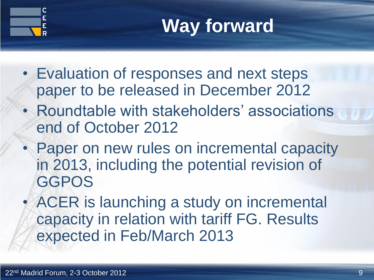



- Evaluation of responses and next steps paper to be released in December 2012
- Roundtable with stakeholders' associations end of October 2012
- Paper on new rules on incremental capacity in 2013, including the potential revision of **GGPOS**
- ACER is launching a study on incremental capacity in relation with tariff FG. Results expected in Feb/March 2013